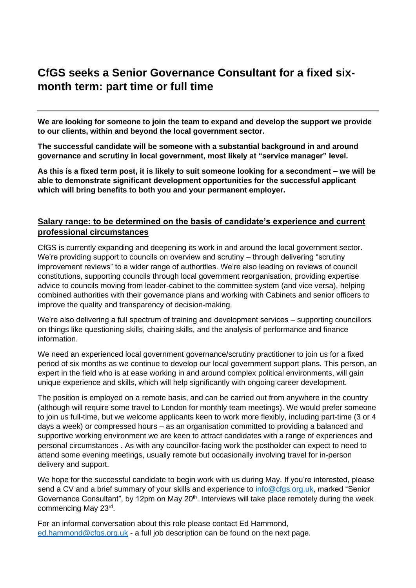# **CfGS seeks a Senior Governance Consultant for a fixed sixmonth term: part time or full time**

**We are looking for someone to join the team to expand and develop the support we provide to our clients, within and beyond the local government sector.** 

**The successful candidate will be someone with a substantial background in and around governance and scrutiny in local government, most likely at "service manager" level.** 

**As this is a fixed term post, it is likely to suit someone looking for a secondment – we will be able to demonstrate significant development opportunities for the successful applicant which will bring benefits to both you and your permanent employer.** 

## **Salary range: to be determined on the basis of candidate's experience and current professional circumstances**

CfGS is currently expanding and deepening its work in and around the local government sector. We're providing support to councils on overview and scrutiny – through delivering "scrutiny improvement reviews" to a wider range of authorities. We're also leading on reviews of council constitutions, supporting councils through local government reorganisation, providing expertise advice to councils moving from leader-cabinet to the committee system (and vice versa), helping combined authorities with their governance plans and working with Cabinets and senior officers to improve the quality and transparency of decision-making.

We're also delivering a full spectrum of training and development services – supporting councillors on things like questioning skills, chairing skills, and the analysis of performance and finance information.

We need an experienced local government governance/scrutiny practitioner to join us for a fixed period of six months as we continue to develop our local government support plans. This person, an expert in the field who is at ease working in and around complex political environments, will gain unique experience and skills, which will help significantly with ongoing career development.

The position is employed on a remote basis, and can be carried out from anywhere in the country (although will require some travel to London for monthly team meetings). We would prefer someone to join us full-time, but we welcome applicants keen to work more flexibly, including part-time (3 or 4 days a week) or compressed hours – as an organisation committed to providing a balanced and supportive working environment we are keen to attract candidates with a range of experiences and personal circumstances . As with any councillor-facing work the postholder can expect to need to attend some evening meetings, usually remote but occasionally involving travel for in-person delivery and support.

We hope for the successful candidate to begin work with us during May. If you're interested, please send a CV and a brief summary of your skills and experience to [info@cfgs.org.uk,](mailto:info@cfgs.org.uk) marked "Senior Governance Consultant", by 12pm on May 20<sup>th</sup>. Interviews will take place remotely during the week commencing May 23rd .

For an informal conversation about this role please contact Ed Hammond, [ed.hammond@cfgs.org.uk](mailto:ed.hammond@cfgs.org.uk) - a full job description can be found on the next page.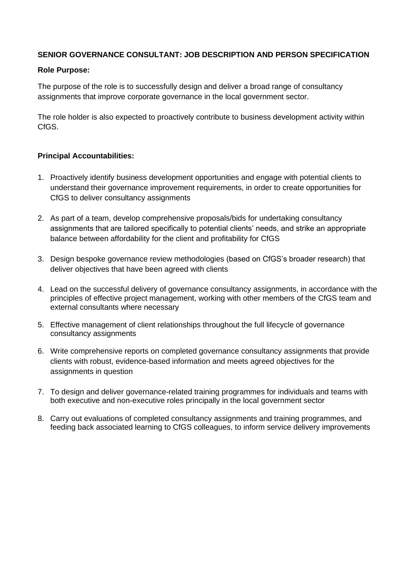### **SENIOR GOVERNANCE CONSULTANT: JOB DESCRIPTION AND PERSON SPECIFICATION**

#### **Role Purpose:**

The purpose of the role is to successfully design and deliver a broad range of consultancy assignments that improve corporate governance in the local government sector.

The role holder is also expected to proactively contribute to business development activity within C<sub>fGS</sub>

#### **Principal Accountabilities:**

- 1. Proactively identify business development opportunities and engage with potential clients to understand their governance improvement requirements, in order to create opportunities for CfGS to deliver consultancy assignments
- 2. As part of a team, develop comprehensive proposals/bids for undertaking consultancy assignments that are tailored specifically to potential clients' needs, and strike an appropriate balance between affordability for the client and profitability for CfGS
- 3. Design bespoke governance review methodologies (based on CfGS's broader research) that deliver objectives that have been agreed with clients
- 4. Lead on the successful delivery of governance consultancy assignments, in accordance with the principles of effective project management, working with other members of the CfGS team and external consultants where necessary
- 5. Effective management of client relationships throughout the full lifecycle of governance consultancy assignments
- 6. Write comprehensive reports on completed governance consultancy assignments that provide clients with robust, evidence-based information and meets agreed objectives for the assignments in question
- 7. To design and deliver governance-related training programmes for individuals and teams with both executive and non-executive roles principally in the local government sector
- 8. Carry out evaluations of completed consultancy assignments and training programmes, and feeding back associated learning to CfGS colleagues, to inform service delivery improvements